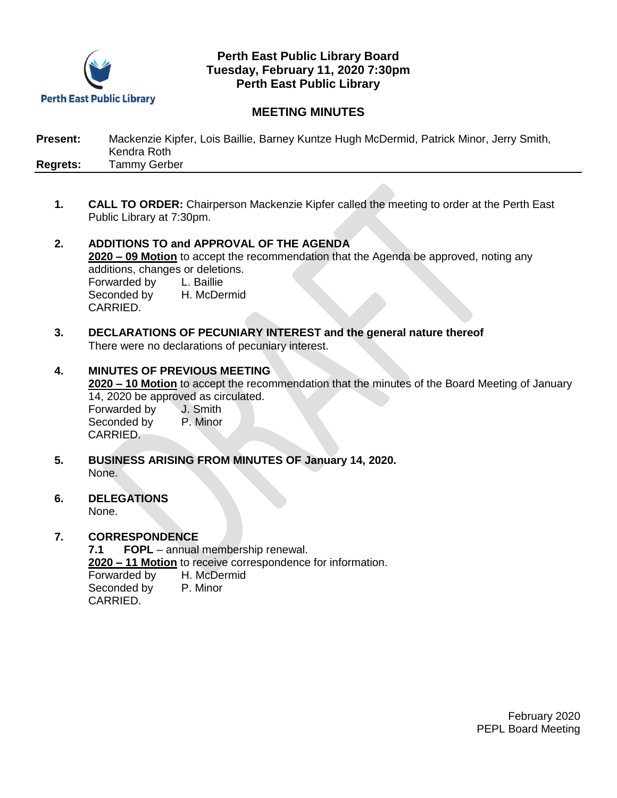

## **Perth East Public Library Board Tuesday, February 11, 2020 7:30pm Perth East Public Library**

# **MEETING MINUTES**

| <b>Present:</b> | Mackenzie Kipfer, Lois Baillie, Barney Kuntze Hugh McDermid, Patrick Minor, Jerry Smith, |
|-----------------|------------------------------------------------------------------------------------------|
|                 | Kendra Roth                                                                              |
| <b>Regrets:</b> | Tammy Gerber                                                                             |

- **1. CALL TO ORDER:** Chairperson Mackenzie Kipfer called the meeting to order at the Perth East Public Library at 7:30pm.
- **2. ADDITIONS TO and APPROVAL OF THE AGENDA 2020 – 09 Motion** to accept the recommendation that the Agenda be approved, noting any additions, changes or deletions. Forwarded by L. Baillie<br>Seconded by H. McDermid Seconded by CARRIED.
- **3. DECLARATIONS OF PECUNIARY INTEREST and the general nature thereof** There were no declarations of pecuniary interest.
- **4. MINUTES OF PREVIOUS MEETING 2020 – 10 Motion** to accept the recommendation that the minutes of the Board Meeting of January 14, 2020 be approved as circulated. Forwarded by J. Smith Seconded by P. Minor CARRIED.
- **5. BUSINESS ARISING FROM MINUTES OF January 14, 2020.** None.
- **6. DELEGATIONS** None.

### **7. CORRESPONDENCE**

**7.1 FOPL** – annual membership renewal.

**2020 – 11 Motion** to receive correspondence for information.

Forwarded by H. McDermid Seconded by P. Minor

CARRIED.

February 2020 PEPL Board Meeting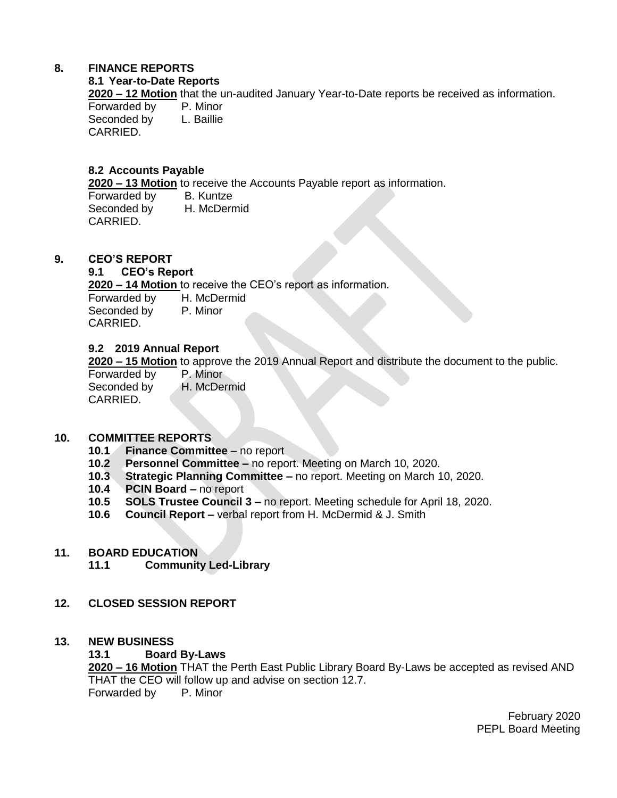## **8. FINANCE REPORTS**

### **8.1 Year-to-Date Reports**

**2020 – 12 Motion** that the un-audited January Year-to-Date reports be received as information. Forwarded by P. Minor<br>Seconded by L. Baillie

Seconded by CARRIED.

## **8.2 Accounts Payable**

**2020 – 13 Motion** to receive the Accounts Payable report as information.

Forwarded by B. Kuntze Seconded by H. McDermid CARRIED.

## **9. CEO'S REPORT**

### **9.1 CEO's Report**

**2020 – 14 Motion** to receive the CEO's report as information. Forwarded by H. McDermid

Seconded by P. Minor CARRIED.

### **9.2 2019 Annual Report**

**2020 – 15 Motion** to approve the 2019 Annual Report and distribute the document to the public.

Forwarded by P. Minor Seconded by H. McDermid CARRIED.

### **10. COMMITTEE REPORTS**

- **10.1 Finance Committee**  no report
- **10.2 Personnel Committee –** no report. Meeting on March 10, 2020.
- **10.3 Strategic Planning Committee –** no report. Meeting on March 10, 2020.
- **10.4 PCIN Board –** no report
- **10.5 SOLS Trustee Council 3 –** no report. Meeting schedule for April 18, 2020.
- **10.6 Council Report –** verbal report from H. McDermid & J. Smith

#### **11. BOARD EDUCATION**

- **11.1 Community Led-Library**
- **12. CLOSED SESSION REPORT**

#### **13. NEW BUSINESS**

#### **13.1 Board By-Laws**

**2020 – 16 Motion** THAT the Perth East Public Library Board By-Laws be accepted as revised AND THAT the CEO will follow up and advise on section 12.7. Forwarded by P. Minor

> February 2020 PEPL Board Meeting